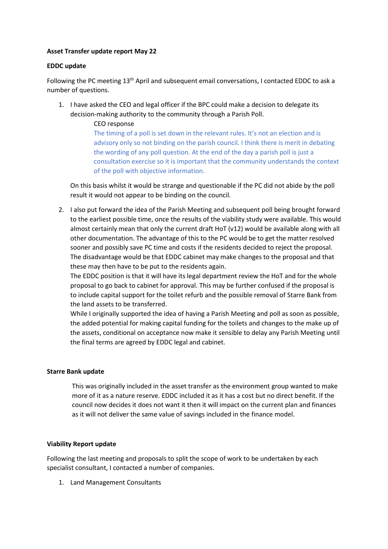# **Asset Transfer update report May 22**

# **EDDC update**

Following the PC meeting 13<sup>th</sup> April and subsequent email conversations, I contacted EDDC to ask a number of questions.

1. I have asked the CEO and legal officer if the BPC could make a decision to delegate its decision-making authority to the community through a Parish Poll.

> CEO response The timing of a poll is set down in the relevant rules. It's not an election and is advisory only so not binding on the parish council. I think there is merit in debating the wording of any poll question. At the end of the day a parish poll is just a consultation exercise so it is important that the community understands the context of the poll with objective information.

On this basis whilst it would be strange and questionable if the PC did not abide by the poll result it would not appear to be binding on the council.

2. I also put forward the idea of the Parish Meeting and subsequent poll being brought forward to the earliest possible time, once the results of the viability study were available. This would almost certainly mean that only the current draft HoT (v12) would be available along with all other documentation. The advantage of this to the PC would be to get the matter resolved sooner and possibly save PC time and costs if the residents decided to reject the proposal. The disadvantage would be that EDDC cabinet may make changes to the proposal and that these may then have to be put to the residents again.

The EDDC position is that it will have its legal department review the HoT and for the whole proposal to go back to cabinet for approval. This may be further confused if the proposal is to include capital support for the toilet refurb and the possible removal of Starre Bank from the land assets to be transferred.

While I originally supported the idea of having a Parish Meeting and poll as soon as possible, the added potential for making capital funding for the toilets and changes to the make up of the assets, conditional on acceptance now make it sensible to delay any Parish Meeting until the final terms are agreed by EDDC legal and cabinet.

### **Starre Bank update**

This was originally included in the asset transfer as the environment group wanted to make more of it as a nature reserve. EDDC included it as it has a cost but no direct benefit. If the council now decides it does not want it then it will impact on the current plan and finances as it will not deliver the same value of savings included in the finance model.

### **Viability Report update**

Following the last meeting and proposals to split the scope of work to be undertaken by each specialist consultant, I contacted a number of companies.

1. Land Management Consultants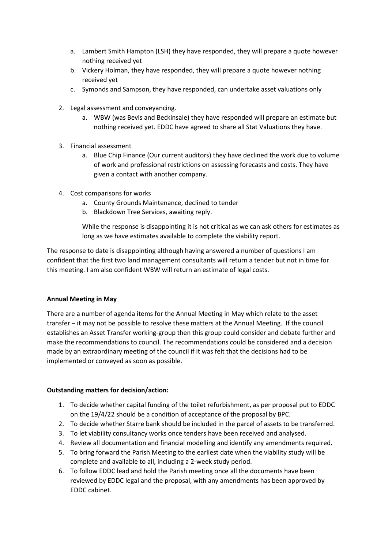- a. Lambert Smith Hampton (LSH) they have responded, they will prepare a quote however nothing received yet
- b. Vickery Holman, they have responded, they will prepare a quote however nothing received yet
- c. Symonds and Sampson, they have responded, can undertake asset valuations only
- 2. Legal assessment and conveyancing.
	- a. WBW (was Bevis and Beckinsale) they have responded will prepare an estimate but nothing received yet. EDDC have agreed to share all Stat Valuations they have.
- 3. Financial assessment
	- a. Blue Chip Finance (Our current auditors) they have declined the work due to volume of work and professional restrictions on assessing forecasts and costs. They have given a contact with another company.
- 4. Cost comparisons for works
	- a. County Grounds Maintenance, declined to tender
	- b. Blackdown Tree Services, awaiting reply.

While the response is disappointing it is not critical as we can ask others for estimates as long as we have estimates available to complete the viability report.

The response to date is disappointing although having answered a number of questions I am confident that the first two land management consultants will return a tender but not in time for this meeting. I am also confident WBW will return an estimate of legal costs.

### **Annual Meeting in May**

There are a number of agenda items for the Annual Meeting in May which relate to the asset transfer – it may not be possible to resolve these matters at the Annual Meeting. If the council establishes an Asset Transfer working-group then this group could consider and debate further and make the recommendations to council. The recommendations could be considered and a decision made by an extraordinary meeting of the council if it was felt that the decisions had to be implemented or conveyed as soon as possible.

### **Outstanding matters for decision/action:**

- 1. To decide whether capital funding of the toilet refurbishment, as per proposal put to EDDC on the 19/4/22 should be a condition of acceptance of the proposal by BPC.
- 2. To decide whether Starre bank should be included in the parcel of assets to be transferred.
- 3. To let viability consultancy works once tenders have been received and analysed.
- 4. Review all documentation and financial modelling and identify any amendments required.
- 5. To bring forward the Parish Meeting to the earliest date when the viability study will be complete and available to all, including a 2-week study period.
- 6. To follow EDDC lead and hold the Parish meeting once all the documents have been reviewed by EDDC legal and the proposal, with any amendments has been approved by EDDC cabinet.